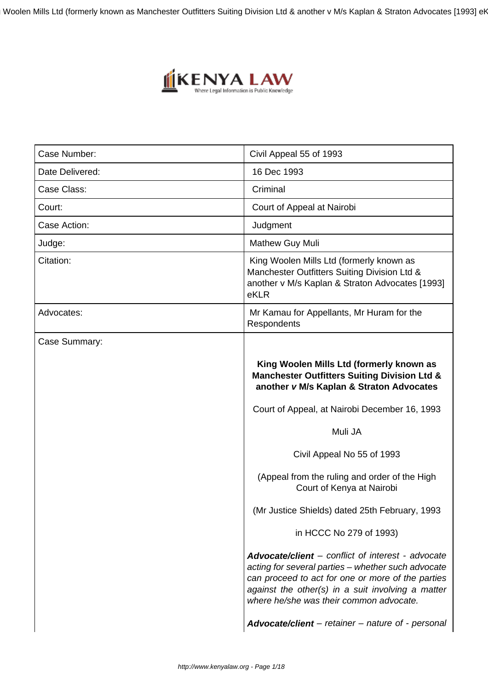Woolen Mills Ltd (formerly known as Manchester Outfitters Suiting Division Ltd & another v M/s Kaplan & Straton Advocates [1993] eł



| Case Number:    | Civil Appeal 55 of 1993                                                                                                                                                                                                                                                                                                                                                                                                                                                                                                                                                                                                   |
|-----------------|---------------------------------------------------------------------------------------------------------------------------------------------------------------------------------------------------------------------------------------------------------------------------------------------------------------------------------------------------------------------------------------------------------------------------------------------------------------------------------------------------------------------------------------------------------------------------------------------------------------------------|
| Date Delivered: | 16 Dec 1993                                                                                                                                                                                                                                                                                                                                                                                                                                                                                                                                                                                                               |
| Case Class:     | Criminal                                                                                                                                                                                                                                                                                                                                                                                                                                                                                                                                                                                                                  |
| Court:          | Court of Appeal at Nairobi                                                                                                                                                                                                                                                                                                                                                                                                                                                                                                                                                                                                |
| Case Action:    | Judgment                                                                                                                                                                                                                                                                                                                                                                                                                                                                                                                                                                                                                  |
| Judge:          | Mathew Guy Muli                                                                                                                                                                                                                                                                                                                                                                                                                                                                                                                                                                                                           |
| Citation:       | King Woolen Mills Ltd (formerly known as<br>Manchester Outfitters Suiting Division Ltd &<br>another v M/s Kaplan & Straton Advocates [1993]<br>eKLR                                                                                                                                                                                                                                                                                                                                                                                                                                                                       |
| Advocates:      | Mr Kamau for Appellants, Mr Huram for the<br>Respondents                                                                                                                                                                                                                                                                                                                                                                                                                                                                                                                                                                  |
| Case Summary:   | King Woolen Mills Ltd (formerly known as<br><b>Manchester Outfitters Suiting Division Ltd &amp;</b><br>another v M/s Kaplan & Straton Advocates<br>Court of Appeal, at Nairobi December 16, 1993<br>Muli JA<br>Civil Appeal No 55 of 1993<br>(Appeal from the ruling and order of the High<br>Court of Kenya at Nairobi<br>(Mr Justice Shields) dated 25th February, 1993<br>in HCCC No 279 of 1993)<br>Advocate/client - conflict of interest - advocate<br>acting for several parties - whether such advocate<br>can proceed to act for one or more of the parties<br>against the other(s) in a suit involving a matter |
|                 | Advocate/client - retainer - nature of - personal                                                                                                                                                                                                                                                                                                                                                                                                                                                                                                                                                                         |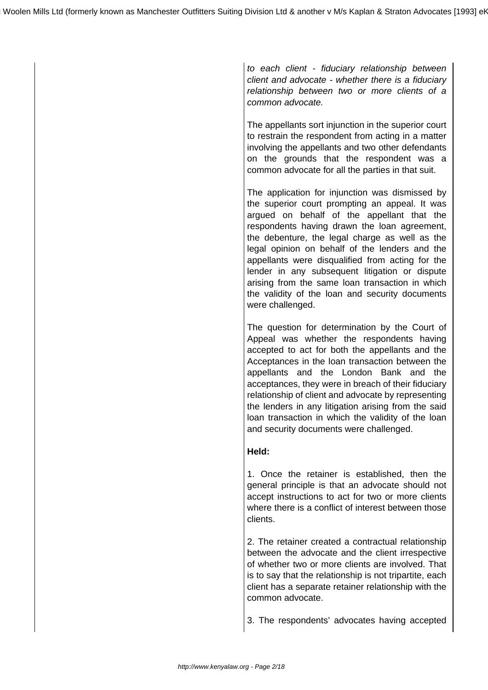to each client - fiduciary relationship between client and advocate - whether there is a fiduciary relationship between two or more clients of a common advocate.

The appellants sort injunction in the superior court to restrain the respondent from acting in a matter involving the appellants and two other defendants on the grounds that the respondent was a common advocate for all the parties in that suit.

The application for injunction was dismissed by the superior court prompting an appeal. It was argued on behalf of the appellant that the respondents having drawn the loan agreement, the debenture, the legal charge as well as the legal opinion on behalf of the lenders and the appellants were disqualified from acting for the lender in any subsequent litigation or dispute arising from the same loan transaction in which the validity of the loan and security documents were challenged.

The question for determination by the Court of Appeal was whether the respondents having accepted to act for both the appellants and the Acceptances in the loan transaction between the appellants and the London Bank and the acceptances, they were in breach of their fiduciary relationship of client and advocate by representing the lenders in any litigation arising from the said loan transaction in which the validity of the loan and security documents were challenged.

# **Held:**

1. Once the retainer is established, then the general principle is that an advocate should not accept instructions to act for two or more clients where there is a conflict of interest between those clients.

2. The retainer created a contractual relationship between the advocate and the client irrespective of whether two or more clients are involved. That is to say that the relationship is not tripartite, each client has a separate retainer relationship with the common advocate.

3. The respondents' advocates having accepted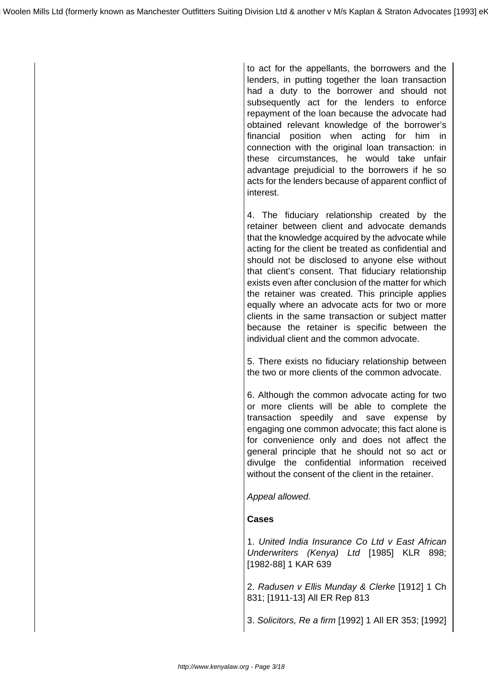to act for the appellants, the borrowers and the lenders, in putting together the loan transaction had a duty to the borrower and should not subsequently act for the lenders to enforce repayment of the loan because the advocate had obtained relevant knowledge of the borrower's financial position when acting for him in connection with the original loan transaction: in these circumstances, he would take unfair advantage prejudicial to the borrowers if he so acts for the lenders because of apparent conflict of interest.

4. The fiduciary relationship created by the retainer between client and advocate demands that the knowledge acquired by the advocate while acting for the client be treated as confidential and should not be disclosed to anyone else without that client's consent. That fiduciary relationship exists even after conclusion of the matter for which the retainer was created. This principle applies equally where an advocate acts for two or more clients in the same transaction or subject matter because the retainer is specific between the individual client and the common advocate.

5. There exists no fiduciary relationship between the two or more clients of the common advocate.

6. Although the common advocate acting for two or more clients will be able to complete the transaction speedily and save expense by engaging one common advocate; this fact alone is for convenience only and does not affect the general principle that he should not so act or divulge the confidential information received without the consent of the client in the retainer.

Appeal allowed.

# **Cases**

1. United India Insurance Co Ltd v East African Underwriters (Kenya) Ltd [1985] KLR 898; [1982-88] 1 KAR 639

2. Radusen v Ellis Munday & Clerke [1912] 1 Ch 831; [1911-13] All ER Rep 813

3. Solicitors, Re a firm [1992] 1 All ER 353; [1992]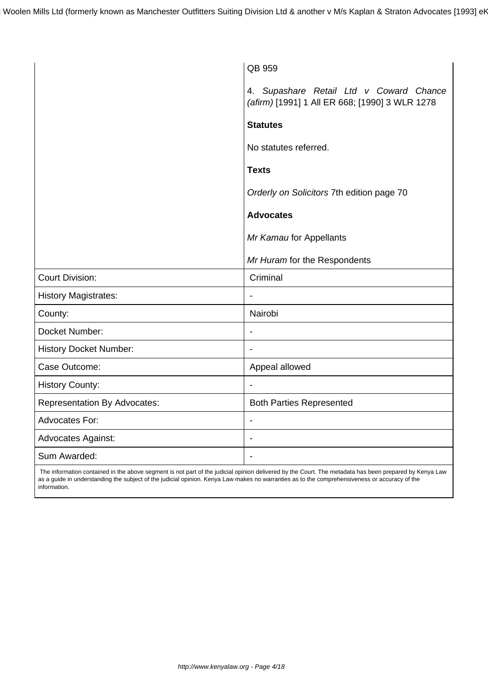|                                     | QB 959                                                                                    |
|-------------------------------------|-------------------------------------------------------------------------------------------|
|                                     | 4. Supashare Retail Ltd v Coward Chance<br>(afirm) [1991] 1 All ER 668; [1990] 3 WLR 1278 |
|                                     | <b>Statutes</b>                                                                           |
|                                     | No statutes referred.                                                                     |
|                                     | <b>Texts</b>                                                                              |
|                                     | Orderly on Solicitors 7th edition page 70                                                 |
|                                     | <b>Advocates</b>                                                                          |
|                                     | Mr Kamau for Appellants                                                                   |
|                                     | Mr Huram for the Respondents                                                              |
| <b>Court Division:</b>              | Criminal                                                                                  |
| <b>History Magistrates:</b>         |                                                                                           |
| County:                             | Nairobi                                                                                   |
| Docket Number:                      |                                                                                           |
| <b>History Docket Number:</b>       |                                                                                           |
| Case Outcome:                       | Appeal allowed                                                                            |
| <b>History County:</b>              |                                                                                           |
| <b>Representation By Advocates:</b> | <b>Both Parties Represented</b>                                                           |
| <b>Advocates For:</b>               | $\overline{\phantom{a}}$                                                                  |
| <b>Advocates Against:</b>           | $\overline{\phantom{a}}$                                                                  |
| Sum Awarded:                        |                                                                                           |

 The information contained in the above segment is not part of the judicial opinion delivered by the Court. The metadata has been prepared by Kenya Law as a guide in understanding the subject of the judicial opinion. Kenya Law makes no warranties as to the comprehensiveness or accuracy of the information.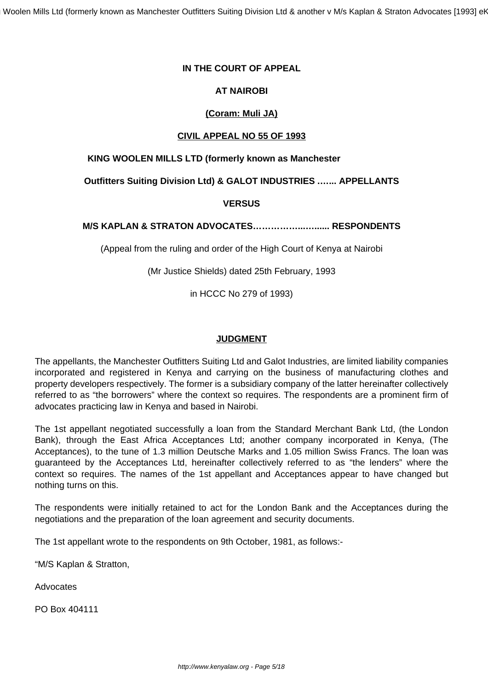Woolen Mills Ltd (formerly known as Manchester Outfitters Suiting Division Ltd & another v M/s Kaplan & Straton Advocates [1993] eł

## **IN THE COURT OF APPEAL**

### **AT NAIROBI**

### **(Coram: Muli JA)**

#### **CIVIL APPEAL NO 55 OF 1993**

#### **KING WOOLEN MILLS LTD (formerly known as Manchester**

#### **Outfitters Suiting Division Ltd) & GALOT INDUSTRIES .…... APPELLANTS**

#### **VERSUS**

#### **M/S KAPLAN & STRATON ADVOCATES……………...…...... RESPONDENTS**

(Appeal from the ruling and order of the High Court of Kenya at Nairobi

(Mr Justice Shields) dated 25th February, 1993

in HCCC No 279 of 1993)

#### **JUDGMENT**

The appellants, the Manchester Outfitters Suiting Ltd and Galot Industries, are limited liability companies incorporated and registered in Kenya and carrying on the business of manufacturing clothes and property developers respectively. The former is a subsidiary company of the latter hereinafter collectively referred to as "the borrowers" where the context so requires. The respondents are a prominent firm of advocates practicing law in Kenya and based in Nairobi.

The 1st appellant negotiated successfully a loan from the Standard Merchant Bank Ltd, (the London Bank), through the East Africa Acceptances Ltd; another company incorporated in Kenya, (The Acceptances), to the tune of 1.3 million Deutsche Marks and 1.05 million Swiss Francs. The loan was guaranteed by the Acceptances Ltd, hereinafter collectively referred to as "the lenders" where the context so requires. The names of the 1st appellant and Acceptances appear to have changed but nothing turns on this.

The respondents were initially retained to act for the London Bank and the Acceptances during the negotiations and the preparation of the loan agreement and security documents.

The 1st appellant wrote to the respondents on 9th October, 1981, as follows:-

"M/S Kaplan & Stratton,

Advocates

PO Box 404111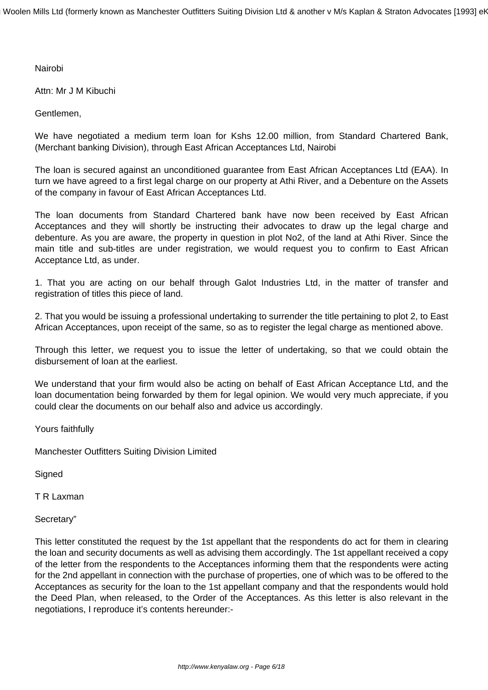Nairobi

Attn: Mr J M Kibuchi

Gentlemen,

We have negotiated a medium term loan for Kshs 12.00 million, from Standard Chartered Bank, (Merchant banking Division), through East African Acceptances Ltd, Nairobi

The loan is secured against an unconditioned guarantee from East African Acceptances Ltd (EAA). In turn we have agreed to a first legal charge on our property at Athi River, and a Debenture on the Assets of the company in favour of East African Acceptances Ltd.

The loan documents from Standard Chartered bank have now been received by East African Acceptances and they will shortly be instructing their advocates to draw up the legal charge and debenture. As you are aware, the property in question in plot No2, of the land at Athi River. Since the main title and sub-titles are under registration, we would request you to confirm to East African Acceptance Ltd, as under.

1. That you are acting on our behalf through Galot Industries Ltd, in the matter of transfer and registration of titles this piece of land.

2. That you would be issuing a professional undertaking to surrender the title pertaining to plot 2, to East African Acceptances, upon receipt of the same, so as to register the legal charge as mentioned above.

Through this letter, we request you to issue the letter of undertaking, so that we could obtain the disbursement of loan at the earliest.

We understand that your firm would also be acting on behalf of East African Acceptance Ltd, and the loan documentation being forwarded by them for legal opinion. We would very much appreciate, if you could clear the documents on our behalf also and advice us accordingly.

Yours faithfully

Manchester Outfitters Suiting Division Limited

**Signed** 

T R Laxman

Secretary"

This letter constituted the request by the 1st appellant that the respondents do act for them in clearing the loan and security documents as well as advising them accordingly. The 1st appellant received a copy of the letter from the respondents to the Acceptances informing them that the respondents were acting for the 2nd appellant in connection with the purchase of properties, one of which was to be offered to the Acceptances as security for the loan to the 1st appellant company and that the respondents would hold the Deed Plan, when released, to the Order of the Acceptances. As this letter is also relevant in the negotiations, I reproduce it's contents hereunder:-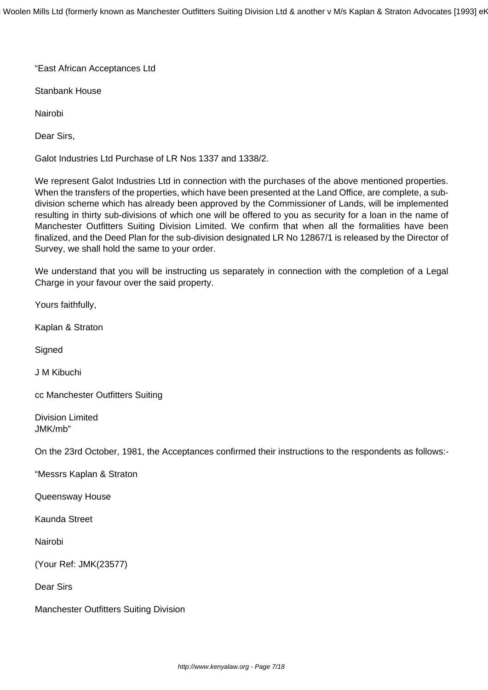"East African Acceptances Ltd

Stanbank House

Nairobi

Dear Sirs,

Galot Industries Ltd Purchase of LR Nos 1337 and 1338/2.

We represent Galot Industries Ltd in connection with the purchases of the above mentioned properties. When the transfers of the properties, which have been presented at the Land Office, are complete, a subdivision scheme which has already been approved by the Commissioner of Lands, will be implemented resulting in thirty sub-divisions of which one will be offered to you as security for a loan in the name of Manchester Outfitters Suiting Division Limited. We confirm that when all the formalities have been finalized, and the Deed Plan for the sub-division designated LR No 12867/1 is released by the Director of Survey, we shall hold the same to your order.

We understand that you will be instructing us separately in connection with the completion of a Legal Charge in your favour over the said property.

Yours faithfully,

Kaplan & Straton

**Signed** 

J M Kibuchi

cc Manchester Outfitters Suiting

Division Limited JMK/mb"

On the 23rd October, 1981, the Acceptances confirmed their instructions to the respondents as follows:-

"Messrs Kaplan & Straton

Queensway House

Kaunda Street

Nairobi

(Your Ref: JMK(23577)

Dear Sirs

Manchester Outfitters Suiting Division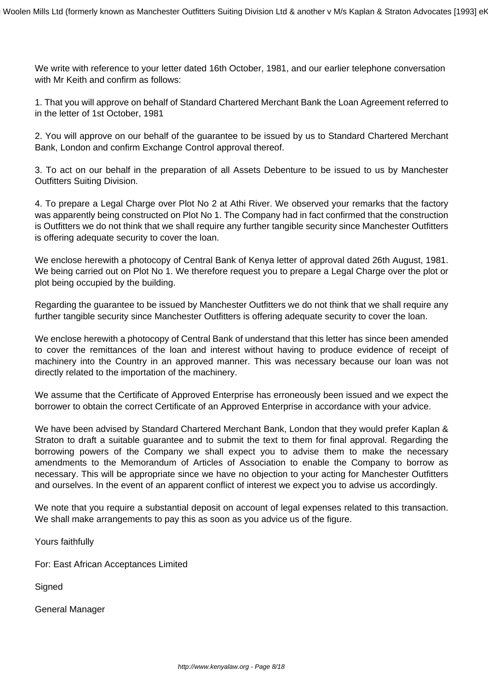We write with reference to your letter dated 16th October, 1981, and our earlier telephone conversation with Mr Keith and confirm as follows:

1. That you will approve on behalf of Standard Chartered Merchant Bank the Loan Agreement referred to in the letter of 1st October, 1981

2. You will approve on our behalf of the guarantee to be issued by us to Standard Chartered Merchant Bank, London and confirm Exchange Control approval thereof.

3. To act on our behalf in the preparation of all Assets Debenture to be issued to us by Manchester Outfitters Suiting Division.

4. To prepare a Legal Charge over Plot No 2 at Athi River. We observed your remarks that the factory was apparently being constructed on Plot No 1. The Company had in fact confirmed that the construction is Outfitters we do not think that we shall require any further tangible security since Manchester Outfitters is offering adequate security to cover the loan.

We enclose herewith a photocopy of Central Bank of Kenya letter of approval dated 26th August, 1981. We being carried out on Plot No 1. We therefore request you to prepare a Legal Charge over the plot or plot being occupied by the building.

Regarding the guarantee to be issued by Manchester Outfitters we do not think that we shall require any further tangible security since Manchester Outfitters is offering adequate security to cover the loan.

We enclose herewith a photocopy of Central Bank of understand that this letter has since been amended to cover the remittances of the loan and interest without having to produce evidence of receipt of machinery into the Country in an approved manner. This was necessary because our loan was not directly related to the importation of the machinery.

We assume that the Certificate of Approved Enterprise has erroneously been issued and we expect the borrower to obtain the correct Certificate of an Approved Enterprise in accordance with your advice.

We have been advised by Standard Chartered Merchant Bank, London that they would prefer Kaplan & Straton to draft a suitable guarantee and to submit the text to them for final approval. Regarding the borrowing powers of the Company we shall expect you to advise them to make the necessary amendments to the Memorandum of Articles of Association to enable the Company to borrow as necessary. This will be appropriate since we have no objection to your acting for Manchester Outfitters and ourselves. In the event of an apparent conflict of interest we expect you to advise us accordingly.

We note that you require a substantial deposit on account of legal expenses related to this transaction. We shall make arrangements to pay this as soon as you advice us of the figure.

Yours faithfully

For: East African Acceptances Limited

**Signed** 

General Manager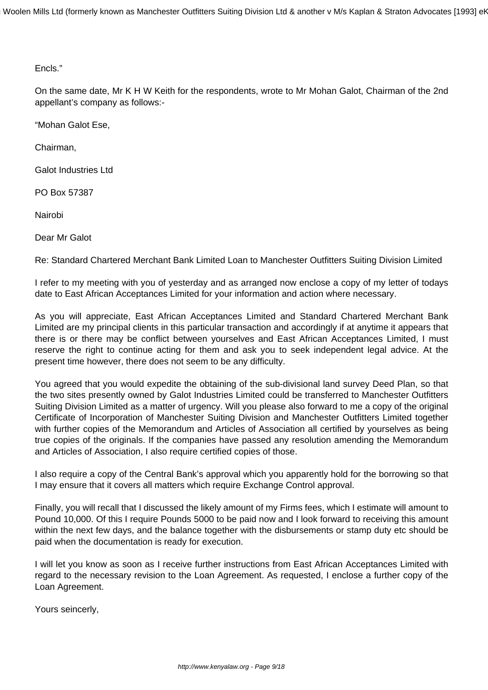## Encls."

On the same date, Mr K H W Keith for the respondents, wrote to Mr Mohan Galot, Chairman of the 2nd appellant's company as follows:-

"Mohan Galot Ese,

Chairman,

Galot Industries Ltd

PO Box 57387

Nairobi

Dear Mr Galot

Re: Standard Chartered Merchant Bank Limited Loan to Manchester Outfitters Suiting Division Limited

I refer to my meeting with you of yesterday and as arranged now enclose a copy of my letter of todays date to East African Acceptances Limited for your information and action where necessary.

As you will appreciate, East African Acceptances Limited and Standard Chartered Merchant Bank Limited are my principal clients in this particular transaction and accordingly if at anytime it appears that there is or there may be conflict between yourselves and East African Acceptances Limited, I must reserve the right to continue acting for them and ask you to seek independent legal advice. At the present time however, there does not seem to be any difficulty.

You agreed that you would expedite the obtaining of the sub-divisional land survey Deed Plan, so that the two sites presently owned by Galot Industries Limited could be transferred to Manchester Outfitters Suiting Division Limited as a matter of urgency. Will you please also forward to me a copy of the original Certificate of Incorporation of Manchester Suiting Division and Manchester Outfitters Limited together with further copies of the Memorandum and Articles of Association all certified by yourselves as being true copies of the originals. If the companies have passed any resolution amending the Memorandum and Articles of Association, I also require certified copies of those.

I also require a copy of the Central Bank's approval which you apparently hold for the borrowing so that I may ensure that it covers all matters which require Exchange Control approval.

Finally, you will recall that I discussed the likely amount of my Firms fees, which I estimate will amount to Pound 10,000. Of this I require Pounds 5000 to be paid now and I look forward to receiving this amount within the next few days, and the balance together with the disbursements or stamp duty etc should be paid when the documentation is ready for execution.

I will let you know as soon as I receive further instructions from East African Acceptances Limited with regard to the necessary revision to the Loan Agreement. As requested, I enclose a further copy of the Loan Agreement.

Yours seincerly,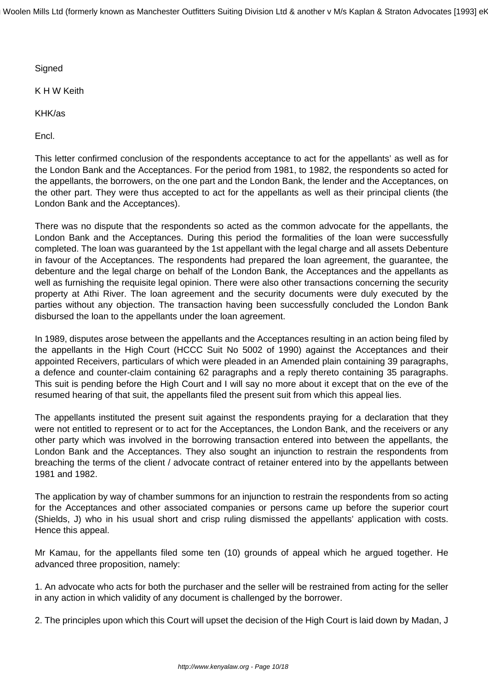Woolen Mills Ltd (formerly known as Manchester Outfitters Suiting Division Ltd & another v M/s Kaplan & Straton Advocates [1993] eł

**Signed** 

K H W Keith

KHK/as

Encl.

This letter confirmed conclusion of the respondents acceptance to act for the appellants' as well as for the London Bank and the Acceptances. For the period from 1981, to 1982, the respondents so acted for the appellants, the borrowers, on the one part and the London Bank, the lender and the Acceptances, on the other part. They were thus accepted to act for the appellants as well as their principal clients (the London Bank and the Acceptances).

There was no dispute that the respondents so acted as the common advocate for the appellants, the London Bank and the Acceptances. During this period the formalities of the loan were successfully completed. The loan was guaranteed by the 1st appellant with the legal charge and all assets Debenture in favour of the Acceptances. The respondents had prepared the loan agreement, the guarantee, the debenture and the legal charge on behalf of the London Bank, the Acceptances and the appellants as well as furnishing the requisite legal opinion. There were also other transactions concerning the security property at Athi River. The loan agreement and the security documents were duly executed by the parties without any objection. The transaction having been successfully concluded the London Bank disbursed the loan to the appellants under the loan agreement.

In 1989, disputes arose between the appellants and the Acceptances resulting in an action being filed by the appellants in the High Court (HCCC Suit No 5002 of 1990) against the Acceptances and their appointed Receivers, particulars of which were pleaded in an Amended plain containing 39 paragraphs, a defence and counter-claim containing 62 paragraphs and a reply thereto containing 35 paragraphs. This suit is pending before the High Court and I will say no more about it except that on the eve of the resumed hearing of that suit, the appellants filed the present suit from which this appeal lies.

The appellants instituted the present suit against the respondents praying for a declaration that they were not entitled to represent or to act for the Acceptances, the London Bank, and the receivers or any other party which was involved in the borrowing transaction entered into between the appellants, the London Bank and the Acceptances. They also sought an injunction to restrain the respondents from breaching the terms of the client / advocate contract of retainer entered into by the appellants between 1981 and 1982.

The application by way of chamber summons for an injunction to restrain the respondents from so acting for the Acceptances and other associated companies or persons came up before the superior court (Shields, J) who in his usual short and crisp ruling dismissed the appellants' application with costs. Hence this appeal.

Mr Kamau, for the appellants filed some ten (10) grounds of appeal which he argued together. He advanced three proposition, namely:

1. An advocate who acts for both the purchaser and the seller will be restrained from acting for the seller in any action in which validity of any document is challenged by the borrower.

2. The principles upon which this Court will upset the decision of the High Court is laid down by Madan, J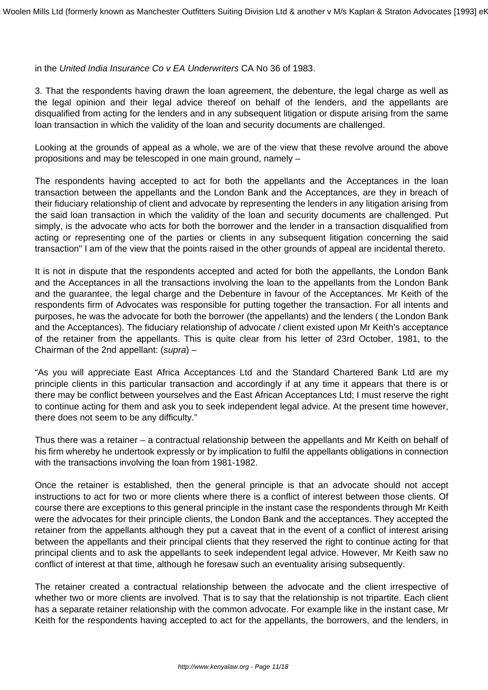in the United India Insurance Co v EA Underwriters CA No 36 of 1983.

3. That the respondents having drawn the loan agreement, the debenture, the legal charge as well as the legal opinion and their legal advice thereof on behalf of the lenders, and the appellants are disqualified from acting for the lenders and in any subsequent litigation or dispute arising from the same loan transaction in which the validity of the loan and security documents are challenged.

Looking at the grounds of appeal as a whole, we are of the view that these revolve around the above propositions and may be telescoped in one main ground, namely –

The respondents having accepted to act for both the appellants and the Acceptances in the loan transaction between the appellants and the London Bank and the Acceptances, are they in breach of their fiduciary relationship of client and advocate by representing the lenders in any litigation arising from the said loan transaction in which the validity of the loan and security documents are challenged. Put simply, is the advocate who acts for both the borrower and the lender in a transaction disqualified from acting or representing one of the parties or clients in any subsequent litigation concerning the said transaction" I am of the view that the points raised in the other grounds of appeal are incidental thereto.

It is not in dispute that the respondents accepted and acted for both the appellants, the London Bank and the Acceptances in all the transactions involving the loan to the appellants from the London Bank and the guarantee, the legal charge and the Debenture in favour of the Acceptances. Mr Keith of the respondents firm of Advocates was responsible for putting together the transaction. For all intents and purposes, he was the advocate for both the borrower (the appellants) and the lenders ( the London Bank and the Acceptances). The fiduciary relationship of advocate / client existed upon Mr Keith's acceptance of the retainer from the appellants. This is quite clear from his letter of 23rd October, 1981, to the Chairman of the 2nd appellant: (supra) –

"As you will appreciate East Africa Acceptances Ltd and the Standard Chartered Bank Ltd are my principle clients in this particular transaction and accordingly if at any time it appears that there is or there may be conflict between yourselves and the East African Acceptances Ltd; I must reserve the right to continue acting for them and ask you to seek independent legal advice. At the present time however, there does not seem to be any difficulty."

Thus there was a retainer – a contractual relationship between the appellants and Mr Keith on behalf of his firm whereby he undertook expressly or by implication to fulfil the appellants obligations in connection with the transactions involving the loan from 1981-1982.

Once the retainer is established, then the general principle is that an advocate should not accept instructions to act for two or more clients where there is a conflict of interest between those clients. Of course there are exceptions to this general principle in the instant case the respondents through Mr Keith were the advocates for their principle clients, the London Bank and the acceptances. They accepted the retainer from the appellants although they put a caveat that in the event of a conflict of interest arising between the appellants and their principal clients that they reserved the right to continue acting for that principal clients and to ask the appellants to seek independent legal advice. However, Mr Keith saw no conflict of interest at that time, although he foresaw such an eventuality arising subsequently.

The retainer created a contractual relationship between the advocate and the client irrespective of whether two or more clients are involved. That is to say that the relationship is not tripartite. Each client has a separate retainer relationship with the common advocate. For example like in the instant case, Mr Keith for the respondents having accepted to act for the appellants, the borrowers, and the lenders, in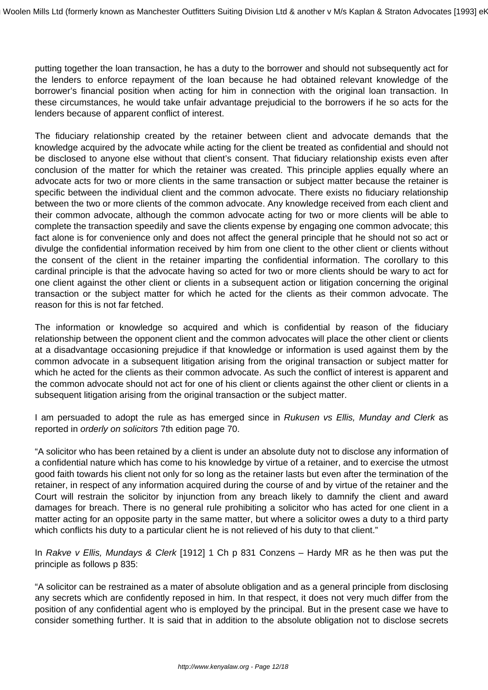putting together the loan transaction, he has a duty to the borrower and should not subsequently act for the lenders to enforce repayment of the loan because he had obtained relevant knowledge of the borrower's financial position when acting for him in connection with the original loan transaction. In these circumstances, he would take unfair advantage prejudicial to the borrowers if he so acts for the lenders because of apparent conflict of interest.

The fiduciary relationship created by the retainer between client and advocate demands that the knowledge acquired by the advocate while acting for the client be treated as confidential and should not be disclosed to anyone else without that client's consent. That fiduciary relationship exists even after conclusion of the matter for which the retainer was created. This principle applies equally where an advocate acts for two or more clients in the same transaction or subject matter because the retainer is specific between the individual client and the common advocate. There exists no fiduciary relationship between the two or more clients of the common advocate. Any knowledge received from each client and their common advocate, although the common advocate acting for two or more clients will be able to complete the transaction speedily and save the clients expense by engaging one common advocate; this fact alone is for convenience only and does not affect the general principle that he should not so act or divulge the confidential information received by him from one client to the other client or clients without the consent of the client in the retainer imparting the confidential information. The corollary to this cardinal principle is that the advocate having so acted for two or more clients should be wary to act for one client against the other client or clients in a subsequent action or litigation concerning the original transaction or the subject matter for which he acted for the clients as their common advocate. The reason for this is not far fetched.

The information or knowledge so acquired and which is confidential by reason of the fiduciary relationship between the opponent client and the common advocates will place the other client or clients at a disadvantage occasioning prejudice if that knowledge or information is used against them by the common advocate in a subsequent litigation arising from the original transaction or subject matter for which he acted for the clients as their common advocate. As such the conflict of interest is apparent and the common advocate should not act for one of his client or clients against the other client or clients in a subsequent litigation arising from the original transaction or the subject matter.

I am persuaded to adopt the rule as has emerged since in Rukusen vs Ellis, Munday and Clerk as reported in orderly on solicitors 7th edition page 70.

"A solicitor who has been retained by a client is under an absolute duty not to disclose any information of a confidential nature which has come to his knowledge by virtue of a retainer, and to exercise the utmost good faith towards his client not only for so long as the retainer lasts but even after the termination of the retainer, in respect of any information acquired during the course of and by virtue of the retainer and the Court will restrain the solicitor by injunction from any breach likely to damnify the client and award damages for breach. There is no general rule prohibiting a solicitor who has acted for one client in a matter acting for an opposite party in the same matter, but where a solicitor owes a duty to a third party which conflicts his duty to a particular client he is not relieved of his duty to that client."

In Rakve v Ellis, Mundays & Clerk [1912] 1 Ch p 831 Conzens – Hardy MR as he then was put the principle as follows p 835:

"A solicitor can be restrained as a mater of absolute obligation and as a general principle from disclosing any secrets which are confidently reposed in him. In that respect, it does not very much differ from the position of any confidential agent who is employed by the principal. But in the present case we have to consider something further. It is said that in addition to the absolute obligation not to disclose secrets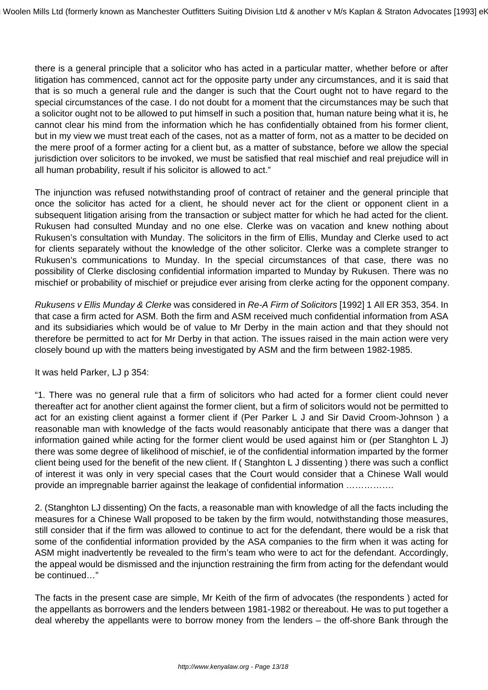there is a general principle that a solicitor who has acted in a particular matter, whether before or after litigation has commenced, cannot act for the opposite party under any circumstances, and it is said that that is so much a general rule and the danger is such that the Court ought not to have regard to the special circumstances of the case. I do not doubt for a moment that the circumstances may be such that a solicitor ought not to be allowed to put himself in such a position that, human nature being what it is, he cannot clear his mind from the information which he has confidentially obtained from his former client, but in my view we must treat each of the cases, not as a matter of form, not as a matter to be decided on the mere proof of a former acting for a client but, as a matter of substance, before we allow the special jurisdiction over solicitors to be invoked, we must be satisfied that real mischief and real prejudice will in all human probability, result if his solicitor is allowed to act."

The injunction was refused notwithstanding proof of contract of retainer and the general principle that once the solicitor has acted for a client, he should never act for the client or opponent client in a subsequent litigation arising from the transaction or subject matter for which he had acted for the client. Rukusen had consulted Munday and no one else. Clerke was on vacation and knew nothing about Rukusen's consultation with Munday. The solicitors in the firm of Ellis, Munday and Clerke used to act for clients separately without the knowledge of the other solicitor. Clerke was a complete stranger to Rukusen's communications to Munday. In the special circumstances of that case, there was no possibility of Clerke disclosing confidential information imparted to Munday by Rukusen. There was no mischief or probability of mischief or prejudice ever arising from clerke acting for the opponent company.

Rukusens v Ellis Munday & Clerke was considered in Re-A Firm of Solicitors [1992] 1 All ER 353, 354. In that case a firm acted for ASM. Both the firm and ASM received much confidential information from ASA and its subsidiaries which would be of value to Mr Derby in the main action and that they should not therefore be permitted to act for Mr Derby in that action. The issues raised in the main action were very closely bound up with the matters being investigated by ASM and the firm between 1982-1985.

It was held Parker, LJ p 354:

"1. There was no general rule that a firm of solicitors who had acted for a former client could never thereafter act for another client against the former client, but a firm of solicitors would not be permitted to act for an existing client against a former client if (Per Parker L J and Sir David Croom-Johnson ) a reasonable man with knowledge of the facts would reasonably anticipate that there was a danger that information gained while acting for the former client would be used against him or (per Stanghton L J) there was some degree of likelihood of mischief, ie of the confidential information imparted by the former client being used for the benefit of the new client. If ( Stanghton L J dissenting ) there was such a conflict of interest it was only in very special cases that the Court would consider that a Chinese Wall would provide an impregnable barrier against the leakage of confidential information …………….

2. (Stanghton LJ dissenting) On the facts, a reasonable man with knowledge of all the facts including the measures for a Chinese Wall proposed to be taken by the firm would, notwithstanding those measures, still consider that if the firm was allowed to continue to act for the defendant, there would be a risk that some of the confidential information provided by the ASA companies to the firm when it was acting for ASM might inadvertently be revealed to the firm's team who were to act for the defendant. Accordingly, the appeal would be dismissed and the injunction restraining the firm from acting for the defendant would be continued…"

The facts in the present case are simple, Mr Keith of the firm of advocates (the respondents ) acted for the appellants as borrowers and the lenders between 1981-1982 or thereabout. He was to put together a deal whereby the appellants were to borrow money from the lenders – the off-shore Bank through the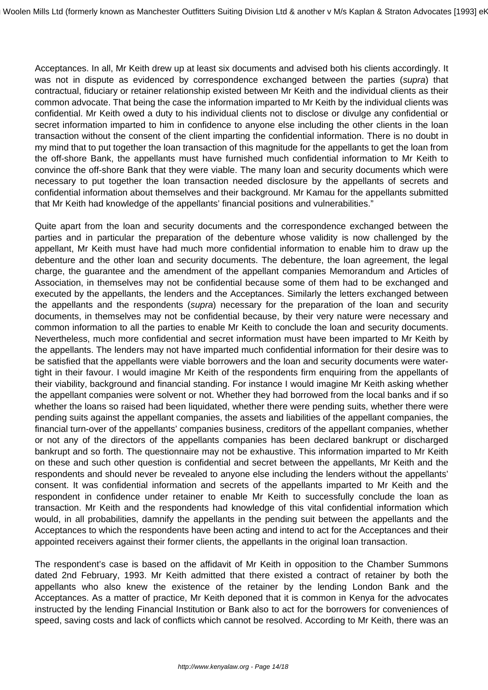Acceptances. In all, Mr Keith drew up at least six documents and advised both his clients accordingly. It was not in dispute as evidenced by correspondence exchanged between the parties (supra) that contractual, fiduciary or retainer relationship existed between Mr Keith and the individual clients as their common advocate. That being the case the information imparted to Mr Keith by the individual clients was confidential. Mr Keith owed a duty to his individual clients not to disclose or divulge any confidential or secret information imparted to him in confidence to anyone else including the other clients in the loan transaction without the consent of the client imparting the confidential information. There is no doubt in my mind that to put together the loan transaction of this magnitude for the appellants to get the loan from the off-shore Bank, the appellants must have furnished much confidential information to Mr Keith to convince the off-shore Bank that they were viable. The many loan and security documents which were necessary to put together the loan transaction needed disclosure by the appellants of secrets and confidential information about themselves and their background. Mr Kamau for the appellants submitted that Mr Keith had knowledge of the appellants' financial positions and vulnerabilities."

Quite apart from the loan and security documents and the correspondence exchanged between the parties and in particular the preparation of the debenture whose validity is now challenged by the appellant, Mr Keith must have had much more confidential information to enable him to draw up the debenture and the other loan and security documents. The debenture, the loan agreement, the legal charge, the guarantee and the amendment of the appellant companies Memorandum and Articles of Association, in themselves may not be confidential because some of them had to be exchanged and executed by the appellants, the lenders and the Acceptances. Similarly the letters exchanged between the appellants and the respondents (supra) necessary for the preparation of the loan and security documents, in themselves may not be confidential because, by their very nature were necessary and common information to all the parties to enable Mr Keith to conclude the loan and security documents. Nevertheless, much more confidential and secret information must have been imparted to Mr Keith by the appellants. The lenders may not have imparted much confidential information for their desire was to be satisfied that the appellants were viable borrowers and the loan and security documents were watertight in their favour. I would imagine Mr Keith of the respondents firm enquiring from the appellants of their viability, background and financial standing. For instance I would imagine Mr Keith asking whether the appellant companies were solvent or not. Whether they had borrowed from the local banks and if so whether the loans so raised had been liquidated, whether there were pending suits, whether there were pending suits against the appellant companies, the assets and liabilities of the appellant companies, the financial turn-over of the appellants' companies business, creditors of the appellant companies, whether or not any of the directors of the appellants companies has been declared bankrupt or discharged bankrupt and so forth. The questionnaire may not be exhaustive. This information imparted to Mr Keith on these and such other question is confidential and secret between the appellants, Mr Keith and the respondents and should never be revealed to anyone else including the lenders without the appellants' consent. It was confidential information and secrets of the appellants imparted to Mr Keith and the respondent in confidence under retainer to enable Mr Keith to successfully conclude the loan as transaction. Mr Keith and the respondents had knowledge of this vital confidential information which would, in all probabilities, damnify the appellants in the pending suit between the appellants and the Acceptances to which the respondents have been acting and intend to act for the Acceptances and their appointed receivers against their former clients, the appellants in the original loan transaction.

The respondent's case is based on the affidavit of Mr Keith in opposition to the Chamber Summons dated 2nd February, 1993. Mr Keith admitted that there existed a contract of retainer by both the appellants who also knew the existence of the retainer by the lending London Bank and the Acceptances. As a matter of practice, Mr Keith deponed that it is common in Kenya for the advocates instructed by the lending Financial Institution or Bank also to act for the borrowers for conveniences of speed, saving costs and lack of conflicts which cannot be resolved. According to Mr Keith, there was an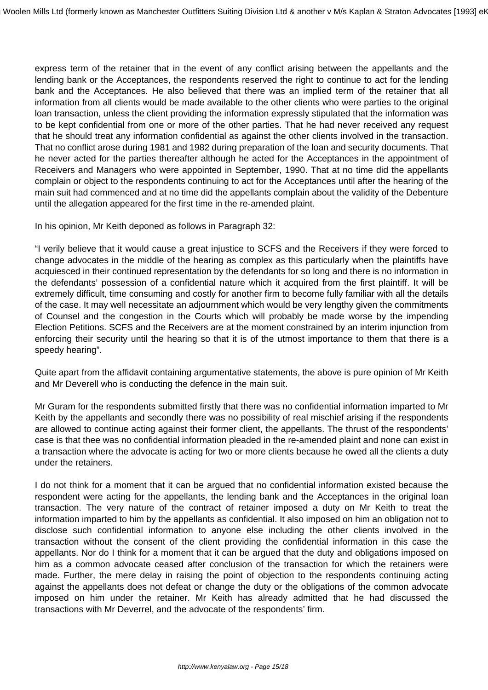express term of the retainer that in the event of any conflict arising between the appellants and the lending bank or the Acceptances, the respondents reserved the right to continue to act for the lending bank and the Acceptances. He also believed that there was an implied term of the retainer that all information from all clients would be made available to the other clients who were parties to the original loan transaction, unless the client providing the information expressly stipulated that the information was to be kept confidential from one or more of the other parties. That he had never received any request that he should treat any information confidential as against the other clients involved in the transaction. That no conflict arose during 1981 and 1982 during preparation of the loan and security documents. That he never acted for the parties thereafter although he acted for the Acceptances in the appointment of Receivers and Managers who were appointed in September, 1990. That at no time did the appellants complain or object to the respondents continuing to act for the Acceptances until after the hearing of the main suit had commenced and at no time did the appellants complain about the validity of the Debenture until the allegation appeared for the first time in the re-amended plaint.

In his opinion, Mr Keith deponed as follows in Paragraph 32:

"I verily believe that it would cause a great injustice to SCFS and the Receivers if they were forced to change advocates in the middle of the hearing as complex as this particularly when the plaintiffs have acquiesced in their continued representation by the defendants for so long and there is no information in the defendants' possession of a confidential nature which it acquired from the first plaintiff. It will be extremely difficult, time consuming and costly for another firm to become fully familiar with all the details of the case. It may well necessitate an adjournment which would be very lengthy given the commitments of Counsel and the congestion in the Courts which will probably be made worse by the impending Election Petitions. SCFS and the Receivers are at the moment constrained by an interim injunction from enforcing their security until the hearing so that it is of the utmost importance to them that there is a speedy hearing".

Quite apart from the affidavit containing argumentative statements, the above is pure opinion of Mr Keith and Mr Deverell who is conducting the defence in the main suit.

Mr Guram for the respondents submitted firstly that there was no confidential information imparted to Mr Keith by the appellants and secondly there was no possibility of real mischief arising if the respondents are allowed to continue acting against their former client, the appellants. The thrust of the respondents' case is that thee was no confidential information pleaded in the re-amended plaint and none can exist in a transaction where the advocate is acting for two or more clients because he owed all the clients a duty under the retainers.

I do not think for a moment that it can be argued that no confidential information existed because the respondent were acting for the appellants, the lending bank and the Acceptances in the original loan transaction. The very nature of the contract of retainer imposed a duty on Mr Keith to treat the information imparted to him by the appellants as confidential. It also imposed on him an obligation not to disclose such confidential information to anyone else including the other clients involved in the transaction without the consent of the client providing the confidential information in this case the appellants. Nor do I think for a moment that it can be argued that the duty and obligations imposed on him as a common advocate ceased after conclusion of the transaction for which the retainers were made. Further, the mere delay in raising the point of objection to the respondents continuing acting against the appellants does not defeat or change the duty or the obligations of the common advocate imposed on him under the retainer. Mr Keith has already admitted that he had discussed the transactions with Mr Deverrel, and the advocate of the respondents' firm.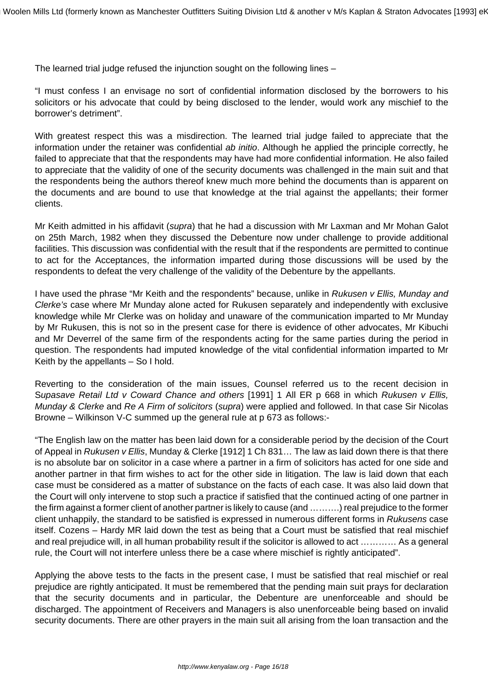The learned trial judge refused the injunction sought on the following lines –

"I must confess I an envisage no sort of confidential information disclosed by the borrowers to his solicitors or his advocate that could by being disclosed to the lender, would work any mischief to the borrower's detriment".

With greatest respect this was a misdirection. The learned trial judge failed to appreciate that the information under the retainer was confidential ab initio. Although he applied the principle correctly, he failed to appreciate that that the respondents may have had more confidential information. He also failed to appreciate that the validity of one of the security documents was challenged in the main suit and that the respondents being the authors thereof knew much more behind the documents than is apparent on the documents and are bound to use that knowledge at the trial against the appellants; their former clients.

Mr Keith admitted in his affidavit (supra) that he had a discussion with Mr Laxman and Mr Mohan Galot on 25th March, 1982 when they discussed the Debenture now under challenge to provide additional facilities. This discussion was confidential with the result that if the respondents are permitted to continue to act for the Acceptances, the information imparted during those discussions will be used by the respondents to defeat the very challenge of the validity of the Debenture by the appellants.

I have used the phrase "Mr Keith and the respondents" because, unlike in Rukusen v Ellis, Munday and Clerke's case where Mr Munday alone acted for Rukusen separately and independently with exclusive knowledge while Mr Clerke was on holiday and unaware of the communication imparted to Mr Munday by Mr Rukusen, this is not so in the present case for there is evidence of other advocates, Mr Kibuchi and Mr Deverrel of the same firm of the respondents acting for the same parties during the period in question. The respondents had imputed knowledge of the vital confidential information imparted to Mr Keith by the appellants – So I hold.

Reverting to the consideration of the main issues, Counsel referred us to the recent decision in Supasave Retail Ltd v Coward Chance and others [1991] 1 All ER p 668 in which Rukusen v Ellis, Munday & Clerke and Re A Firm of solicitors (supra) were applied and followed. In that case Sir Nicolas Browne – Wilkinson V-C summed up the general rule at p 673 as follows:-

"The English law on the matter has been laid down for a considerable period by the decision of the Court of Appeal in Rukusen v Ellis, Munday & Clerke [1912] 1 Ch 831... The law as laid down there is that there is no absolute bar on solicitor in a case where a partner in a firm of solicitors has acted for one side and another partner in that firm wishes to act for the other side in litigation. The law is laid down that each case must be considered as a matter of substance on the facts of each case. It was also laid down that the Court will only intervene to stop such a practice if satisfied that the continued acting of one partner in the firm against a former client of another partner is likely to cause (and ……….) real prejudice to the former client unhappily, the standard to be satisfied is expressed in numerous different forms in Rukusens case itself. Cozens – Hardy MR laid down the test as being that a Court must be satisfied that real mischief and real prejudice will, in all human probability result if the solicitor is allowed to act ………… As a general rule, the Court will not interfere unless there be a case where mischief is rightly anticipated".

Applying the above tests to the facts in the present case, I must be satisfied that real mischief or real prejudice are rightly anticipated. It must be remembered that the pending main suit prays for declaration that the security documents and in particular, the Debenture are unenforceable and should be discharged. The appointment of Receivers and Managers is also unenforceable being based on invalid security documents. There are other prayers in the main suit all arising from the loan transaction and the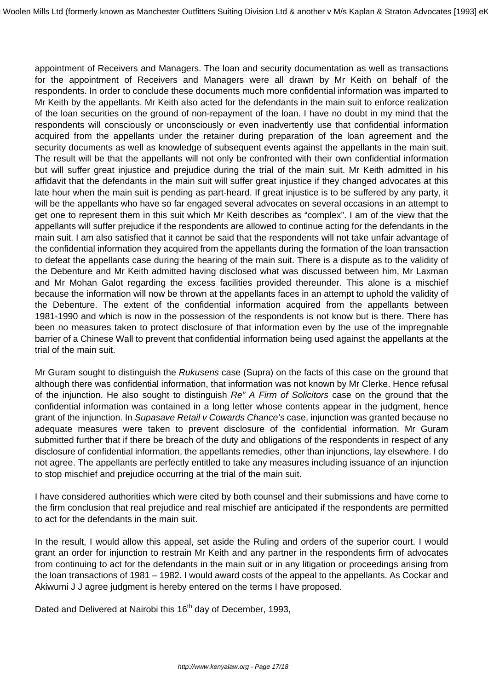appointment of Receivers and Managers. The loan and security documentation as well as transactions for the appointment of Receivers and Managers were all drawn by Mr Keith on behalf of the respondents. In order to conclude these documents much more confidential information was imparted to Mr Keith by the appellants. Mr Keith also acted for the defendants in the main suit to enforce realization of the loan securities on the ground of non-repayment of the loan. I have no doubt in my mind that the respondents will consciously or unconsciously or even inadvertently use that confidential information acquired from the appellants under the retainer during preparation of the loan agreement and the security documents as well as knowledge of subsequent events against the appellants in the main suit. The result will be that the appellants will not only be confronted with their own confidential information but will suffer great injustice and prejudice during the trial of the main suit. Mr Keith admitted in his affidavit that the defendants in the main suit will suffer great injustice if they changed advocates at this late hour when the main suit is pending as part-heard. If great injustice is to be suffered by any party, it will be the appellants who have so far engaged several advocates on several occasions in an attempt to get one to represent them in this suit which Mr Keith describes as "complex". I am of the view that the appellants will suffer prejudice if the respondents are allowed to continue acting for the defendants in the main suit. I am also satisfied that it cannot be said that the respondents will not take unfair advantage of the confidential information they acquired from the appellants during the formation of the loan transaction to defeat the appellants case during the hearing of the main suit. There is a dispute as to the validity of the Debenture and Mr Keith admitted having disclosed what was discussed between him, Mr Laxman and Mr Mohan Galot regarding the excess facilities provided thereunder. This alone is a mischief because the information will now be thrown at the appellants faces in an attempt to uphold the validity of the Debenture. The extent of the confidential information acquired from the appellants between 1981-1990 and which is now in the possession of the respondents is not know but is there. There has been no measures taken to protect disclosure of that information even by the use of the impregnable barrier of a Chinese Wall to prevent that confidential information being used against the appellants at the trial of the main suit.

Mr Guram sought to distinguish the Rukusens case (Supra) on the facts of this case on the ground that although there was confidential information, that information was not known by Mr Clerke. Hence refusal of the injunction. He also sought to distinguish  $Re<sup>n</sup> A Firm$  of Solicitors case on the ground that the confidential information was contained in a long letter whose contents appear in the judgment, hence grant of the injunction. In Supasave Retail v Cowards Chance's case, injunction was granted because no adequate measures were taken to prevent disclosure of the confidential information. Mr Guram submitted further that if there be breach of the duty and obligations of the respondents in respect of any disclosure of confidential information, the appellants remedies, other than injunctions, lay elsewhere. I do not agree. The appellants are perfectly entitled to take any measures including issuance of an injunction to stop mischief and prejudice occurring at the trial of the main suit.

I have considered authorities which were cited by both counsel and their submissions and have come to the firm conclusion that real prejudice and real mischief are anticipated if the respondents are permitted to act for the defendants in the main suit.

In the result, I would allow this appeal, set aside the Ruling and orders of the superior court. I would grant an order for injunction to restrain Mr Keith and any partner in the respondents firm of advocates from continuing to act for the defendants in the main suit or in any litigation or proceedings arising from the loan transactions of 1981 – 1982. I would award costs of the appeal to the appellants. As Cockar and Akiwumi J J agree judgment is hereby entered on the terms I have proposed.

Dated and Delivered at Nairobi this 16<sup>th</sup> day of December, 1993,